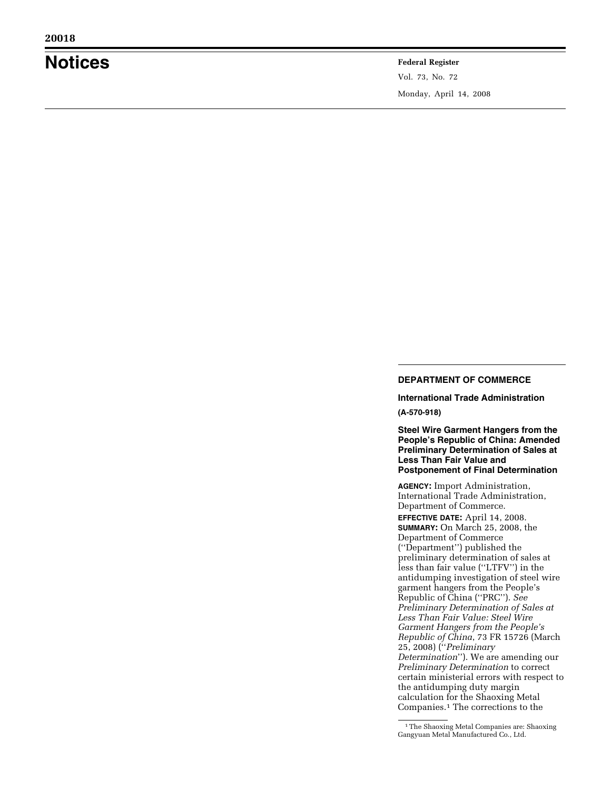# **Notices Federal Register**

Vol. 73, No. 72 Monday, April 14, 2008

# **DEPARTMENT OF COMMERCE**

**International Trade Administration (A-570-918)** 

**Steel Wire Garment Hangers from the People's Republic of China: Amended Preliminary Determination of Sales at Less Than Fair Value and Postponement of Final Determination** 

**AGENCY:** Import Administration, International Trade Administration, Department of Commerce.

**EFFECTIVE DATE:** April 14, 2008. **SUMMARY:** On March 25, 2008, the Department of Commerce (''Department'') published the preliminary determination of sales at less than fair value (''LTFV'') in the antidumping investigation of steel wire garment hangers from the People's Republic of China (''PRC''). *See Preliminary Determination of Sales at Less Than Fair Value: Steel Wire Garment Hangers from the People's Republic of China*, 73 FR 15726 (March 25, 2008) (''*Preliminary Determination*''). We are amending our *Preliminary Determination* to correct certain ministerial errors with respect to the antidumping duty margin calculation for the Shaoxing Metal Companies.1 The corrections to the

<sup>1</sup>The Shaoxing Metal Companies are: Shaoxing Gangyuan Metal Manufactured Co., Ltd.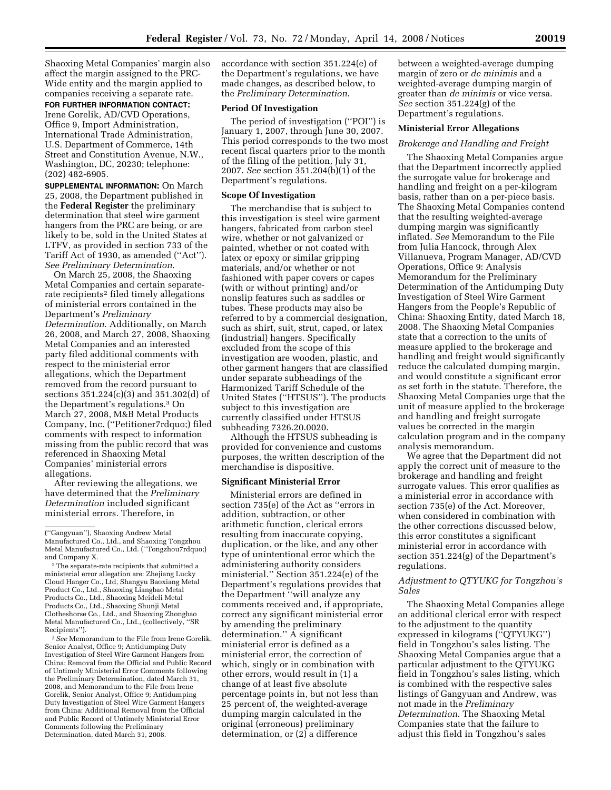Shaoxing Metal Companies' margin also affect the margin assigned to the PRC-Wide entity and the margin applied to companies receiving a separate rate.

**FOR FURTHER INFORMATION CONTACT:** 

Irene Gorelik, AD/CVD Operations, Office 9, Import Administration, International Trade Administration, U.S. Department of Commerce, 14th Street and Constitution Avenue, N.W., Washington, DC, 20230; telephone: (202) 482-6905.

**SUPPLEMENTAL INFORMATION:** On March 25, 2008, the Department published in the **Federal Register** the preliminary determination that steel wire garment hangers from the PRC are being, or are likely to be, sold in the United States at LTFV, as provided in section 733 of the Tariff Act of 1930, as amended (''Act''). *See Preliminary Determination*.

On March 25, 2008, the Shaoxing Metal Companies and certain separaterate recipients2 filed timely allegations of ministerial errors contained in the Department's *Preliminary Determination*. Additionally, on March 26, 2008, and March 27, 2008, Shaoxing Metal Companies and an interested party filed additional comments with respect to the ministerial error allegations, which the Department removed from the record pursuant to sections 351.224(c)(3) and 351.302(d) of the Department's regulations.3 On March 27, 2008, M&B Metal Products Company, Inc. (''Petitioner7rdquo;) filed comments with respect to information missing from the public record that was referenced in Shaoxing Metal Companies' ministerial errors allegations.

After reviewing the allegations, we have determined that the *Preliminary Determination* included significant ministerial errors. Therefore, in

3*See* Memorandum to the File from Irene Gorelik, Senior Analyst, Office 9; Antidumping Duty Investigation of Steel Wire Garment Hangers from China: Removal from the Official and Public Record of Untimely Ministerial Error Comments following the Preliminary Determination, dated March 31, 2008, and Memorandum to the File from Irene Gorelik, Senior Analyst, Office 9; Antidumping Duty Investigation of Steel Wire Garment Hangers from China: Additional Removal from the Official and Public Record of Untimely Ministerial Error Comments following the Preliminary Determination, dated March 31, 2008.

accordance with section 351.224(e) of the Department's regulations, we have made changes, as described below, to the *Preliminary Determination*.

#### **Period Of Investigation**

The period of investigation (''POI'') is January 1, 2007, through June 30, 2007. This period corresponds to the two most recent fiscal quarters prior to the month of the filing of the petition, July 31, 2007. *See* section 351.204(b)(1) of the Department's regulations.

#### **Scope Of Investigation**

The merchandise that is subject to this investigation is steel wire garment hangers, fabricated from carbon steel wire, whether or not galvanized or painted, whether or not coated with latex or epoxy or similar gripping materials, and/or whether or not fashioned with paper covers or capes (with or without printing) and/or nonslip features such as saddles or tubes. These products may also be referred to by a commercial designation, such as shirt, suit, strut, caped, or latex (industrial) hangers. Specifically excluded from the scope of this investigation are wooden, plastic, and other garment hangers that are classified under separate subheadings of the Harmonized Tariff Schedule of the United States (''HTSUS''). The products subject to this investigation are currently classified under HTSUS subheading 7326.20.0020.

Although the HTSUS subheading is provided for convenience and customs purposes, the written description of the merchandise is dispositive.

### **Significant Ministerial Error**

Ministerial errors are defined in section 735(e) of the Act as ''errors in addition, subtraction, or other arithmetic function, clerical errors resulting from inaccurate copying, duplication, or the like, and any other type of unintentional error which the administering authority considers ministerial.'' Section 351.224(e) of the Department's regulations provides that the Department ''will analyze any comments received and, if appropriate, correct any significant ministerial error by amending the preliminary determination.'' A significant ministerial error is defined as a ministerial error, the correction of which, singly or in combination with other errors, would result in (1) a change of at least five absolute percentage points in, but not less than 25 percent of, the weighted-average dumping margin calculated in the original (erroneous) preliminary determination, or (2) a difference

between a weighted-average dumping margin of zero or *de minimis* and a weighted-average dumping margin of greater than *de minimis* or vice versa. *See* section 351.224(g) of the Department's regulations.

## **Ministerial Error Allegations**

#### *Brokerage and Handling and Freight*

The Shaoxing Metal Companies argue that the Department incorrectly applied the surrogate value for brokerage and handling and freight on a per-kilogram basis, rather than on a per-piece basis. The Shaoxing Metal Companies contend that the resulting weighted-average dumping margin was significantly inflated. *See* Memorandum to the File from Julia Hancock, through Alex Villanueva, Program Manager, AD/CVD Operations, Office 9: Analysis Memorandum for the Preliminary Determination of the Antidumping Duty Investigation of Steel Wire Garment Hangers from the People's Republic of China: Shaoxing Entity, dated March 18, 2008. The Shaoxing Metal Companies state that a correction to the units of measure applied to the brokerage and handling and freight would significantly reduce the calculated dumping margin, and would constitute a significant error as set forth in the statute. Therefore, the Shaoxing Metal Companies urge that the unit of measure applied to the brokerage and handling and freight surrogate values be corrected in the margin calculation program and in the company analysis memorandum.

We agree that the Department did not apply the correct unit of measure to the brokerage and handling and freight surrogate values. This error qualifies as a ministerial error in accordance with section 735(e) of the Act. Moreover, when considered in combination with the other corrections discussed below, this error constitutes a significant ministerial error in accordance with section 351.224(g) of the Department's regulations.

## *Adjustment to QTYUKG for Tongzhou's Sales*

The Shaoxing Metal Companies allege an additional clerical error with respect to the adjustment to the quantity expressed in kilograms (''QTYUKG'') field in Tongzhou's sales listing. The Shaoxing Metal Companies argue that a particular adjustment to the QTYUKG field in Tongzhou's sales listing, which is combined with the respective sales listings of Gangyuan and Andrew, was not made in the *Preliminary Determination*. The Shaoxing Metal Companies state that the failure to adjust this field in Tongzhou's sales

<sup>(&#</sup>x27;'Gangyuan''), Shaoxing Andrew Metal Manufactured Co., Ltd., and Shaoxing Tongzhou Metal Manufactured Co., Ltd. (''Tongzhou7rdquo;) and Company X.

<sup>2</sup>The separate-rate recipients that submitted a ministerial error allegation are: Zhejiang Lucky Cloud Hanger Co., Ltd, Shangyu Baoxiang Metal Product Co., Ltd., Shaoxing Liangbao Metal Products Co., Ltd., Shaoxing Meideli Metal Products Co., Ltd., Shaoxing Shunji Metal Clotheshorse Co., Ltd., and Shaoxing Zhongbao Metal Manufactured Co., Ltd., (collectively, ''SR Recipients'').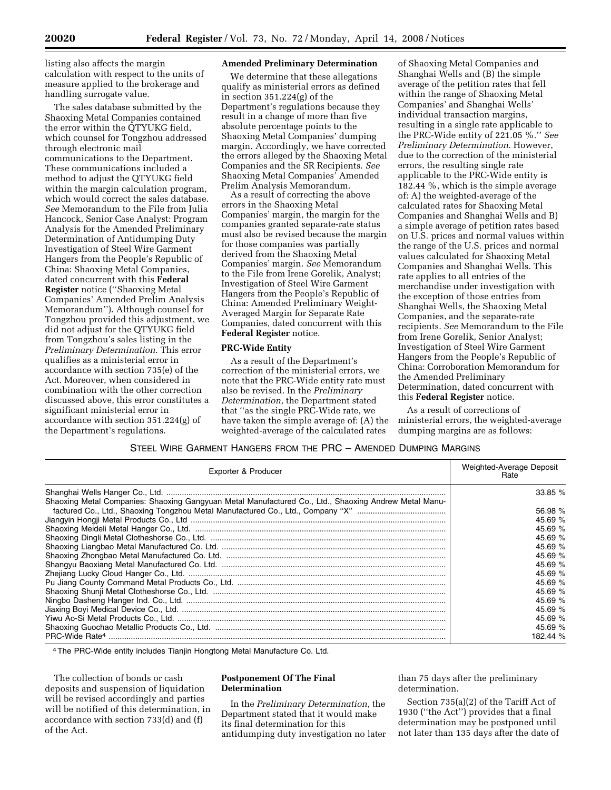listing also affects the margin calculation with respect to the units of measure applied to the brokerage and handling surrogate value.

The sales database submitted by the Shaoxing Metal Companies contained the error within the QTYUKG field, which counsel for Tongzhou addressed through electronic mail communications to the Department. These communications included a method to adjust the QTYUKG field within the margin calculation program, which would correct the sales database. *See* Memorandum to the File from Julia Hancock, Senior Case Analyst: Program Analysis for the Amended Preliminary Determination of Antidumping Duty Investigation of Steel Wire Garment Hangers from the People's Republic of China: Shaoxing Metal Companies, dated concurrent with this **Federal Register** notice (''Shaoxing Metal Companies' Amended Prelim Analysis Memorandum''). Although counsel for Tongzhou provided this adjustment, we did not adjust for the QTYUKG field from Tongzhou's sales listing in the *Preliminary Determination*. This error qualifies as a ministerial error in accordance with section 735(e) of the Act. Moreover, when considered in combination with the other correction discussed above, this error constitutes a significant ministerial error in accordance with section 351.224(g) of the Department's regulations.

# **Amended Preliminary Determination**

We determine that these allegations qualify as ministerial errors as defined in section 351.224(g) of the Department's regulations because they result in a change of more than five absolute percentage points to the Shaoxing Metal Companies' dumping margin. Accordingly, we have corrected the errors alleged by the Shaoxing Metal Companies and the SR Recipients. *See*  Shaoxing Metal Companies' Amended Prelim Analysis Memorandum.

As a result of correcting the above errors in the Shaoxing Metal Companies' margin, the margin for the companies granted separate-rate status must also be revised because the margin for those companies was partially derived from the Shaoxing Metal Companies' margin. *See* Memorandum to the File from Irene Gorelik, Analyst; Investigation of Steel Wire Garment Hangers from the People's Republic of China: Amended Preliminary Weight-Averaged Margin for Separate Rate Companies, dated concurrent with this **Federal Register** notice.

## **PRC-Wide Entity**

As a result of the Department's correction of the ministerial errors, we note that the PRC-Wide entity rate must also be revised. In the *Preliminary Determination*, the Department stated that ''as the single PRC-Wide rate, we have taken the simple average of: (A) the weighted-average of the calculated rates

of Shaoxing Metal Companies and Shanghai Wells and (B) the simple average of the petition rates that fell within the range of Shaoxing Metal Companies' and Shanghai Wells' individual transaction margins, resulting in a single rate applicable to the PRC-Wide entity of 221.05 %.'' *See Preliminary Determination*. However, due to the correction of the ministerial errors, the resulting single rate applicable to the PRC-Wide entity is 182.44 %, which is the simple average of: A) the weighted-average of the calculated rates for Shaoxing Metal Companies and Shanghai Wells and B) a simple average of petition rates based on U.S. prices and normal values within the range of the U.S. prices and normal values calculated for Shaoxing Metal Companies and Shanghai Wells. This rate applies to all entries of the merchandise under investigation with the exception of those entries from Shanghai Wells, the Shaoxing Metal Companies, and the separate-rate recipients. *See* Memorandum to the File from Irene Gorelik, Senior Analyst; Investigation of Steel Wire Garment Hangers from the People's Republic of China: Corroboration Memorandum for the Amended Preliminary Determination, dated concurrent with this **Federal Register** notice.

As a result of corrections of ministerial errors, the weighted-average dumping margins are as follows:

STEEL WIRE GARMENT HANGERS FROM THE PRC – AMENDED DUMPING MARGINS

| Exporter & Producer                                                                                   | Weighted-Average Deposit<br>Rate |
|-------------------------------------------------------------------------------------------------------|----------------------------------|
|                                                                                                       | 33.85%                           |
| Shaoxing Metal Companies: Shaoxing Gangyuan Metal Manufactured Co., Ltd., Shaoxing Andrew Metal Manu- |                                  |
|                                                                                                       | 56.98 %                          |
|                                                                                                       | 45.69 $%$                        |
|                                                                                                       | 45.69 $%$                        |
|                                                                                                       | 45.69 $%$                        |
|                                                                                                       | 45.69 %                          |
|                                                                                                       | 45.69 %                          |
|                                                                                                       | 45.69 %                          |
|                                                                                                       | 45.69 $%$                        |
|                                                                                                       | 45.69 %                          |
|                                                                                                       | 45.69 $%$                        |
|                                                                                                       | 45.69 %                          |
|                                                                                                       | 45.69 %                          |
|                                                                                                       | 45.69 $%$                        |
|                                                                                                       | 45.69 $%$                        |
|                                                                                                       | 182.44 %                         |

4The PRC-Wide entity includes Tianjin Hongtong Metal Manufacture Co. Ltd.

The collection of bonds or cash deposits and suspension of liquidation will be revised accordingly and parties will be notified of this determination, in accordance with section 733(d) and (f) of the Act.

## **Postponement Of The Final Determination**

In the *Preliminary Determination*, the Department stated that it would make its final determination for this antidumping duty investigation no later than 75 days after the preliminary determination.

Section 735(a)(2) of the Tariff Act of 1930 (''the Act'') provides that a final determination may be postponed until not later than 135 days after the date of